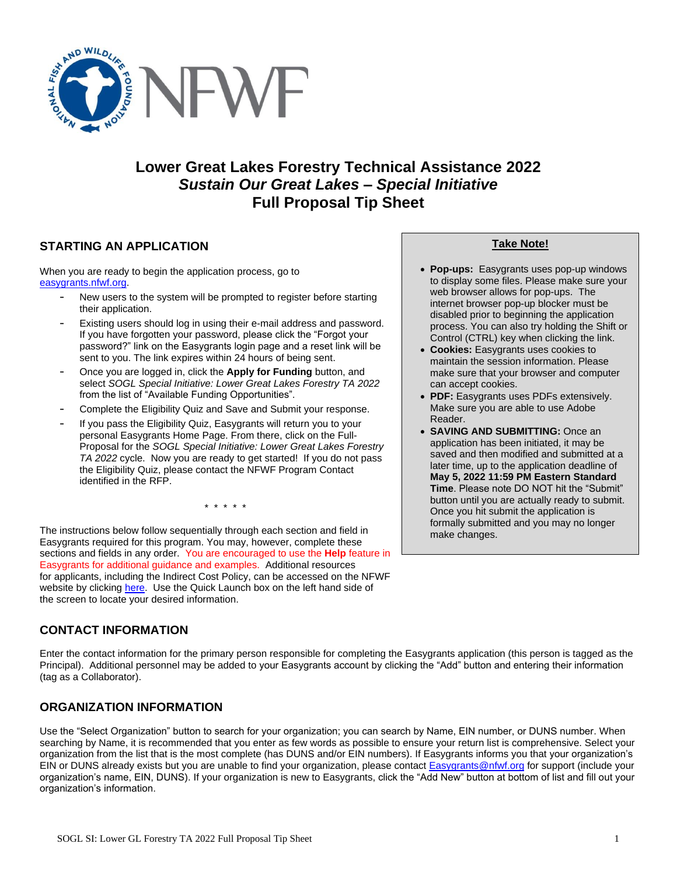

# **Lower Great Lakes Forestry Technical Assistance 2022** *Sustain Our Great Lakes – Special Initiative* **Full Proposal Tip Sheet**

# **STARTING AN APPLICATION**

When you are ready to begin the application process, go to [easygrants.nfwf.org.](https://easygrants.nfwf.org/)

- New users to the system will be prompted to register before starting their application.
- Existing users should log in using their e-mail address and password. If you have forgotten your password, please click the "Forgot your password?" link on the Easygrants login page and a reset link will be sent to you. The link expires within 24 hours of being sent.
- Once you are logged in, click the **Apply for Funding** button, and select *SOGL Special Initiative: Lower Great Lakes Forestry TA 2022* from the list of "Available Funding Opportunities".
- Complete the Eligibility Quiz and Save and Submit your response.
- If you pass the Eligibility Quiz, Easygrants will return you to your personal Easygrants Home Page. From there, click on the Full-Proposal for the *SOGL Special Initiative: Lower Great Lakes Forestry TA 2022* cycle. Now you are ready to get started! If you do not pass the Eligibility Quiz, please contact the NFWF Program Contact identified in the RFP.

\* \* \* \* \*

The instructions below follow sequentially through each section and field in Easygrants required for this program. You may, however, complete these sections and fields in any order. You are encouraged to use the **Help** feature in Easygrants for additional guidance and examples. Additional resources for applicants, including the Indirect Cost Policy, can be accessed on the NFWF website by clicking [here.](http://www.nfwf.org/whatwedo/grants/applicants/Pages/home.aspx) Use the Quick Launch box on the left hand side of the screen to locate your desired information.

# **CONTACT INFORMATION**

Enter the contact information for the primary person responsible for completing the Easygrants application (this person is tagged as the Principal). Additional personnel may be added to your Easygrants account by clicking the "Add" button and entering their information (tag as a Collaborator).

# **ORGANIZATION INFORMATION**

Use the "Select Organization" button to search for your organization; you can search by Name, EIN number, or DUNS number. When searching by Name, it is recommended that you enter as few words as possible to ensure your return list is comprehensive. Select your organization from the list that is the most complete (has DUNS and/or EIN numbers). If Easygrants informs you that your organization's EIN or DUNS already exists but you are unable to find your organization, please contact **Easygrants@nfwf.org** for support (include your organization's name, EIN, DUNS). If your organization is new to Easygrants, click the "Add New" button at bottom of list and fill out your organization's information.

### **Take Note!**

- **Pop-ups:** Easygrants uses pop-up windows to display some files. Please make sure your web browser allows for pop-ups. The internet browser pop-up blocker must be disabled prior to beginning the application process. You can also try holding the Shift or Control (CTRL) key when clicking the link.
- **Cookies:** Easygrants uses cookies to maintain the session information. Please make sure that your browser and computer can accept cookies.
- **PDF:** Easygrants uses PDFs extensively. Make sure you are able to use Adobe Reader.
- **SAVING AND SUBMITTING:** Once an application has been initiated, it may be saved and then modified and submitted at a later time, up to the application deadline of **May 5, 2022 11:59 PM Eastern Standard Time**. Please note DO NOT hit the "Submit" button until you are actually ready to submit. Once you hit submit the application is formally submitted and you may no longer make changes.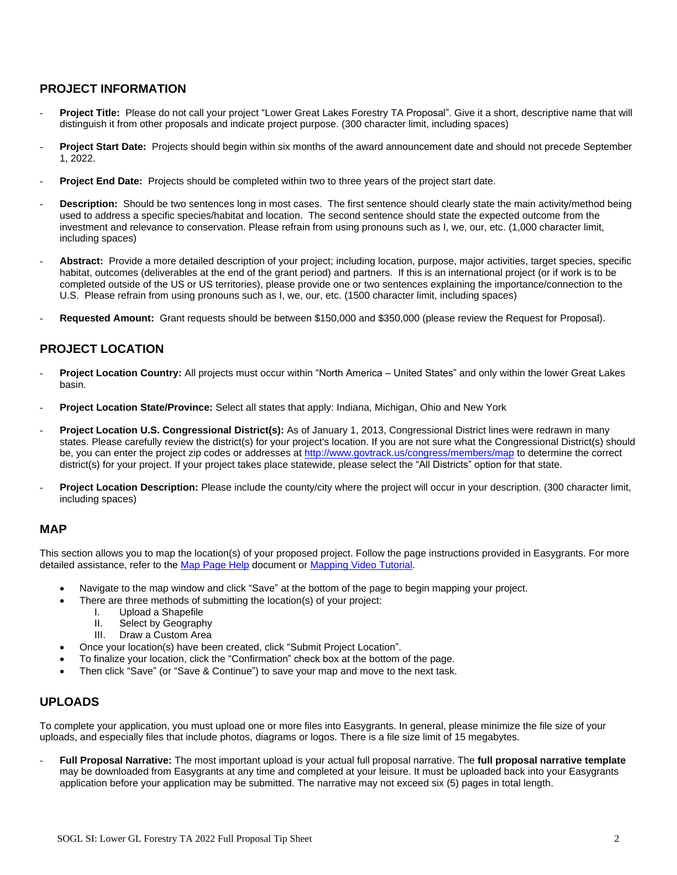# **PROJECT INFORMATION**

- Project Title: Please do not call your project "Lower Great Lakes Forestry TA Proposal". Give it a short, descriptive name that will distinguish it from other proposals and indicate project purpose. (300 character limit, including spaces)
- Project Start Date: Projects should begin within six months of the award announcement date and should not precede September 1, 2022.
- **Project End Date:** Projects should be completed within two to three years of the project start date.
- **Description:** Should be two sentences long in most cases. The first sentence should clearly state the main activity/method being used to address a specific species/habitat and location. The second sentence should state the expected outcome from the investment and relevance to conservation. Please refrain from using pronouns such as I, we, our, etc. (1,000 character limit, including spaces)
- Abstract: Provide a more detailed description of your project; including location, purpose, major activities, target species, specific habitat, outcomes (deliverables at the end of the grant period) and partners. If this is an international project (or if work is to be completed outside of the US or US territories), please provide one or two sentences explaining the importance/connection to the U.S.Please refrain from using pronouns such as I, we, our, etc. (1500 character limit, including spaces)
- **Requested Amount:** Grant requests should be between \$150,000 and \$350,000 (please review the Request for Proposal).

# **PROJECT LOCATION**

- **Project Location Country:** All projects must occur within "North America United States" and only within the lower Great Lakes basin.
- **Project Location State/Province:** Select all states that apply: Indiana, Michigan, Ohio and New York
- **Project Location U.S. Congressional District(s):** As of January 1, 2013, Congressional District lines were redrawn in many states. Please carefully review the district(s) for your project's location. If you are not sure what the Congressional District(s) should be, you can enter the project zip codes or addresse[s at](http://www.govtrack.us/congress/members/map) <http://www.govtrack.us/congress/members/map> to determine the correct district(s) for your project. If your project takes place statewide, please select the "All Districts" option for that state.
- Project Location Description: Please include the county/city where the project will occur in your description. (300 character limit, including spaces)

#### **MAP**

This section allows you to map the location(s) of your proposed project. Follow the page instructions provided in Easygrants. For more detailed assistance, refer to th[e Map Page Help](http://www.nfwf.org/whatwedo/grants/Documents/HelpFile.Proposal.Map.pdf) document o[r Mapping Video Tutorial.](http://www.nfwf.org/whatwedo/grants/applicants/Pages/mapping-tool.aspx#.VfH2mpd1b70)

- Navigate to the map window and click "Save" at the bottom of the page to begin mapping your project.
	- There are three methods of submitting the location(s) of your project:
		- I. Upload a Shapefile
		- II. Select by Geography
		- III. Draw a Custom Area
- Once your location(s) have been created, click "Submit Project Location".
- To finalize your location, click the "Confirmation" check box at the bottom of the page.
- Then click "Save" (or "Save & Continue") to save your map and move to the next task.

### **UPLOADS**

To complete your application, you must upload one or more files into Easygrants. In general, please minimize the file size of your uploads, and especially files that include photos, diagrams or logos. There is a file size limit of 15 megabytes.

- **Full Proposal Narrative:** The most important upload is your actual full proposal narrative. The **full proposal narrative template** may be downloaded from Easygrants at any time and completed at your leisure. It must be uploaded back into your Easygrants application before your application may be submitted. The narrative may not exceed six (5) pages in total length.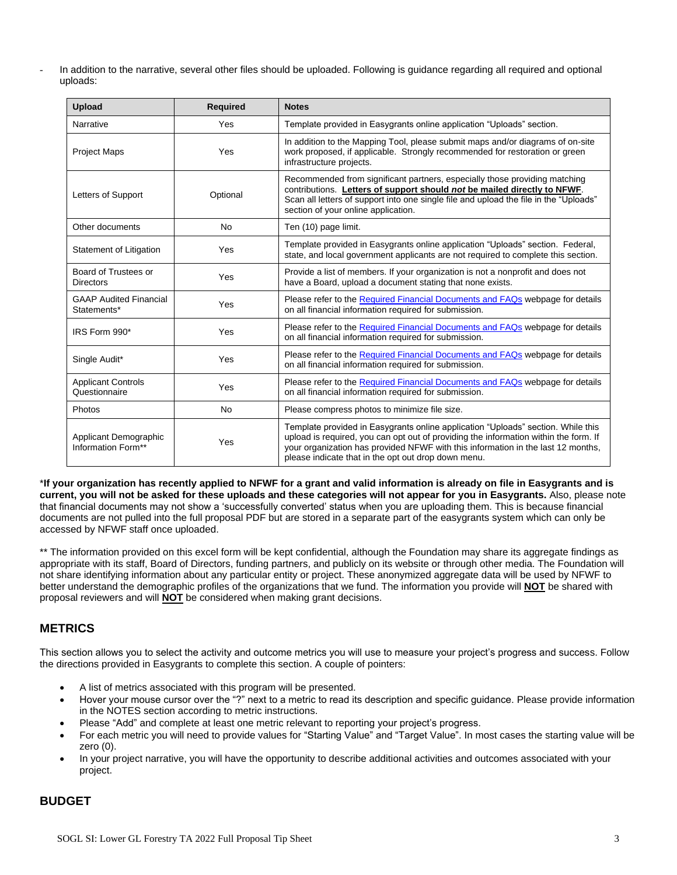- In addition to the narrative, several other files should be uploaded. Following is guidance regarding all required and optional uploads:

| <b>Upload</b>                                | <b>Required</b> | <b>Notes</b>                                                                                                                                                                                                                                                                                                        |
|----------------------------------------------|-----------------|---------------------------------------------------------------------------------------------------------------------------------------------------------------------------------------------------------------------------------------------------------------------------------------------------------------------|
| Narrative                                    | Yes             | Template provided in Easygrants online application "Uploads" section.                                                                                                                                                                                                                                               |
| <b>Project Maps</b>                          | Yes             | In addition to the Mapping Tool, please submit maps and/or diagrams of on-site<br>work proposed, if applicable. Strongly recommended for restoration or green<br>infrastructure projects.                                                                                                                           |
| Letters of Support                           | Optional        | Recommended from significant partners, especially those providing matching<br>contributions. Letters of support should not be mailed directly to NFWF.<br>Scan all letters of support into one single file and upload the file in the "Uploads"<br>section of your online application.                              |
| Other documents                              | No              | Ten (10) page limit.                                                                                                                                                                                                                                                                                                |
| Statement of Litigation                      | Yes             | Template provided in Easygrants online application "Uploads" section. Federal,<br>state, and local government applicants are not required to complete this section.                                                                                                                                                 |
| Board of Trustees or<br><b>Directors</b>     | Yes             | Provide a list of members. If your organization is not a nonprofit and does not<br>have a Board, upload a document stating that none exists.                                                                                                                                                                        |
| <b>GAAP Audited Financial</b><br>Statements* | Yes             | Please refer to the Required Financial Documents and FAQs webpage for details<br>on all financial information required for submission.                                                                                                                                                                              |
| IRS Form 990*                                | Yes             | Please refer to the Required Financial Documents and FAQs webpage for details<br>on all financial information required for submission.                                                                                                                                                                              |
| Single Audit*                                | Yes             | Please refer to the Required Financial Documents and FAQs webpage for details<br>on all financial information required for submission.                                                                                                                                                                              |
| <b>Applicant Controls</b><br>Questionnaire   | Yes             | Please refer to the Required Financial Documents and FAQs webpage for details<br>on all financial information required for submission.                                                                                                                                                                              |
| Photos                                       | No              | Please compress photos to minimize file size.                                                                                                                                                                                                                                                                       |
| Applicant Demographic<br>Information Form**  | Yes             | Template provided in Easygrants online application "Uploads" section. While this<br>upload is required, you can opt out of providing the information within the form. If<br>your organization has provided NFWF with this information in the last 12 months,<br>please indicate that in the opt out drop down menu. |

\***If your organization has recently applied to NFWF for a grant and valid information is already on file in Easygrants and is current, you will not be asked for these uploads and these categories will not appear for you in Easygrants.** Also, please note that financial documents may not show a 'successfully converted' status when you are uploading them. This is because financial documents are not pulled into the full proposal PDF but are stored in a separate part of the easygrants system which can only be accessed by NFWF staff once uploaded.

\*\* The information provided on this excel form will be kept confidential, although the Foundation may share its aggregate findings as appropriate with its staff, Board of Directors, funding partners, and publicly on its website or through other media. The Foundation will not share identifying information about any particular entity or project. These anonymized aggregate data will be used by NFWF to better understand the demographic profiles of the organizations that we fund. The information you provide will **NOT** be shared with proposal reviewers and will **NOT** be considered when making grant decisions.

### **METRICS**

This section allows you to select the activity and outcome metrics you will use to measure your project's progress and success. Follow the directions provided in Easygrants to complete this section. A couple of pointers:

- A list of metrics associated with this program will be presented.
- Hover your mouse cursor over the "?" next to a metric to read its description and specific guidance. Please provide information in the NOTES section according to metric instructions.
- Please "Add" and complete at least one metric relevant to reporting your project's progress.
- For each metric you will need to provide values for "Starting Value" and "Target Value". In most cases the starting value will be zero (0).
- In your project narrative, you will have the opportunity to describe additional activities and outcomes associated with your project.

# **BUDGET**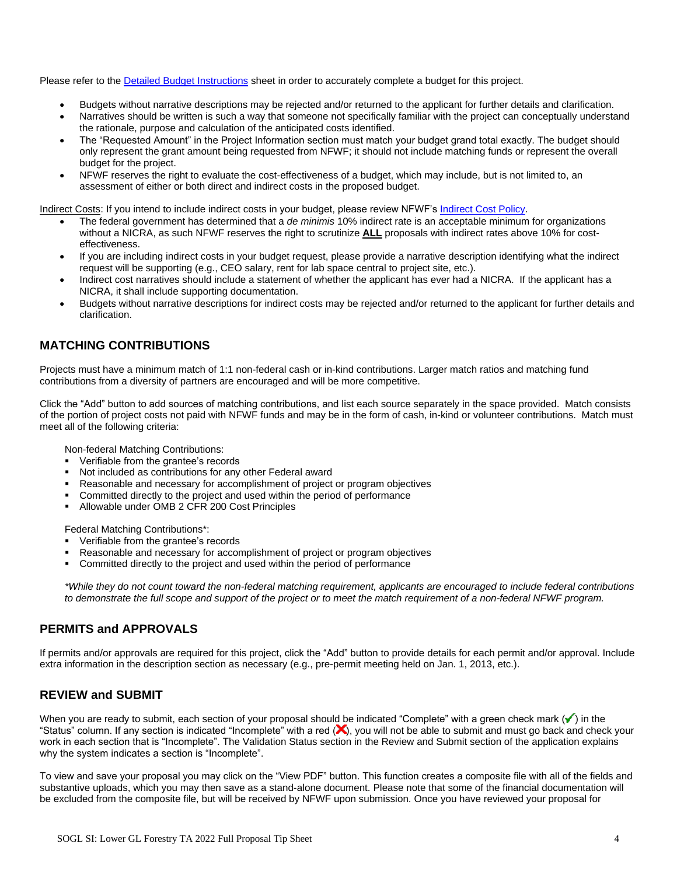Please refer to the [Detailed Budget Instructions](http://www.nfwf.org/whatwedo/grants/applicants/Pages/budget-instructions.aspx) sheet in order to accurately complete a budget for this project.

- Budgets without narrative descriptions may be rejected and/or returned to the applicant for further details and clarification.
- Narratives should be written is such a way that someone not specifically familiar with the project can conceptually understand the rationale, purpose and calculation of the anticipated costs identified.
- The "Requested Amount" in the Project Information section must match your budget grand total exactly. The budget should only represent the grant amount being requested from NFWF; it should not include matching funds or represent the overall budget for the project.
- NFWF reserves the right to evaluate the cost-effectiveness of a budget, which may include, but is not limited to, an assessment of either or both direct and indirect costs in the proposed budget.

Indirect Costs: If you intend to include indirect costs in your budget, please review NFWF's [Indirect Cost Policy.](http://www.nfwf.org/whatwedo/grants/applicants/Pages/indirect-policy.aspx)

- The federal government has determined that a *de minimis* 10% indirect rate is an acceptable minimum for organizations without a NICRA, as such NFWF reserves the right to scrutinize **ALL** proposals with indirect rates above 10% for costeffectiveness.
- If you are including indirect costs in your budget request, please provide a narrative description identifying what the indirect request will be supporting (e.g., CEO salary, rent for lab space central to project site, etc.).
- Indirect cost narratives should include a statement of whether the applicant has ever had a NICRA. If the applicant has a NICRA, it shall include supporting documentation.
- Budgets without narrative descriptions for indirect costs may be rejected and/or returned to the applicant for further details and clarification.

# **MATCHING CONTRIBUTIONS**

Projects must have a minimum match of 1:1 non-federal cash or in-kind contributions. Larger match ratios and matching fund contributions from a diversity of partners are encouraged and will be more competitive.

Click the "Add" button to add sources of matching contributions, and list each source separately in the space provided. Match consists of the portion of project costs not paid with NFWF funds and may be in the form of cash, in-kind or volunteer contributions. Match must meet all of the following criteria:

Non-federal Matching Contributions:

- Verifiable from the grantee's records
- Not included as contributions for any other Federal award
- Reasonable and necessary for accomplishment of project or program objectives
- Committed directly to the project and used within the period of performance
- Allowable under OMB 2 CFR 200 Cost Principles

Federal Matching Contributions\*:

- Verifiable from the grantee's records
- Reasonable and necessary for accomplishment of project or program objectives
- Committed directly to the project and used within the period of performance

*\*While they do not count toward the non-federal matching requirement, applicants are encouraged to include federal contributions to demonstrate the full scope and support of the project or to meet the match requirement of a non-federal NFWF program.*

### **PERMITS and APPROVALS**

If permits and/or approvals are required for this project, click the "Add" button to provide details for each permit and/or approval. Include extra information in the description section as necessary (e.g., pre-permit meeting held on Jan. 1, 2013, etc.).

### **REVIEW and SUBMIT**

When you are ready to submit, each section of your proposal should be indicated "Complete" with a green check mark  $(\checkmark)$  in the "Status" column. If any section is indicated "Incomplete" with a red  $(x)$ , you will not be able to submit and must go back and check your work in each section that is "Incomplete". The Validation Status section in the Review and Submit section of the application explains why the system indicates a section is "Incomplete".

To view and save your proposal you may click on the "View PDF" button. This function creates a composite file with all of the fields and substantive uploads, which you may then save as a stand-alone document. Please note that some of the financial documentation will be excluded from the composite file, but will be received by NFWF upon submission. Once you have reviewed your proposal for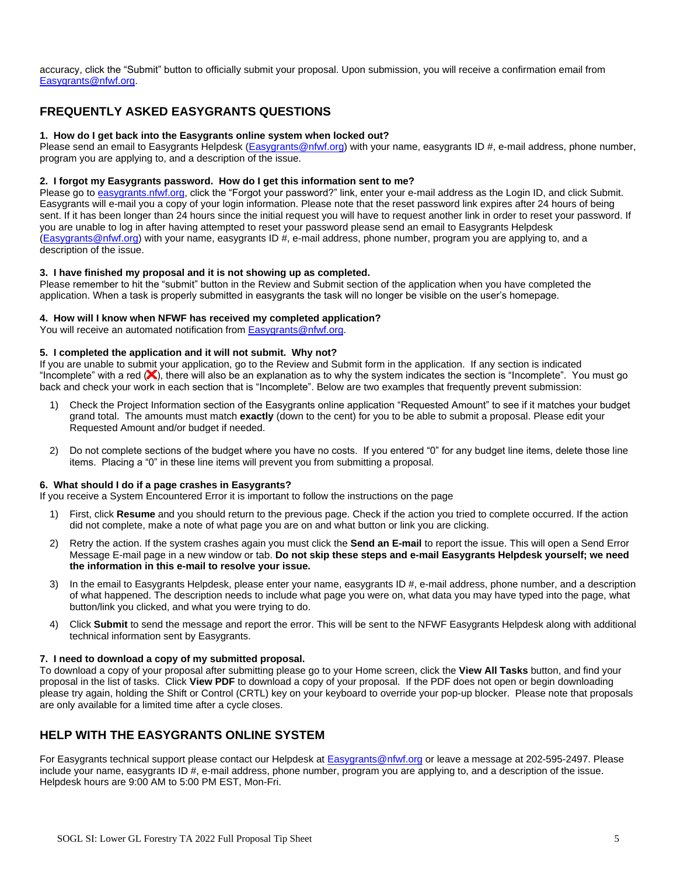accuracy, click the "Submit" button to officially submit your proposal. Upon submission, you will receive a confirmation email from [Easygrants@nfwf.org.](mailto:Easygrants@nfwf.org)

# **FREQUENTLY ASKED EASYGRANTS QUESTIONS**

#### **1. How do I get back into the Easygrants online system when locked out?**

Please send an email to Easygrants Helpdesk [\(Easygrants@nfwf.org\)](mailto:Easygrants@nfwf.org) with your name, easygrants ID #, e-mail address, phone number, program you are applying to, and a description of the issue.

#### **2. I forgot my Easygrants password. How do I get this information sent to me?**

Please go to [easygrants.nfwf.org,](https://easygrants.nfwf.org/) click the "Forgot your password?" link, enter your e-mail address as the Login ID, and click Submit. Easygrants will e-mail you a copy of your login information. Please note that the reset password link expires after 24 hours of being sent. If it has been longer than 24 hours since the initial request you will have to request another link in order to reset your password. If you are unable to log in after having attempted to reset your password please send an email to Easygrants Helpdesk [\(Easygrants@nfwf.org\)](mailto:Easygrants@nfwf.org) with your name, easygrants ID #, e-mail address, phone number, program you are applying to, and a description of the issue.

#### **3. I have finished my proposal and it is not showing up as completed.**

Please remember to hit the "submit" button in the Review and Submit section of the application when you have completed the application. When a task is properly submitted in easygrants the task will no longer be visible on the user's homepage.

#### **4. How will I know when NFWF has received my completed application?**

You will receive an automated notification fro[m Easygrants@nfwf.org.](mailto:Easygrants@nfwf.org)

# **5. I completed the application and it will not submit. Why not?**

If you are unable to submit your application, go to the Review and Submit form in the application. If any section is indicated "Incomplete" with a red  $(x)$ , there will also be an explanation as to why the system indicates the section is "Incomplete". You must go back and check your work in each section that is "Incomplete". Below are two examples that frequently prevent submission:

- 1) Check the Project Information section of the Easygrants online application "Requested Amount" to see if it matches your budget grand total. The amounts must match **exactly** (down to the cent) for you to be able to submit a proposal. Please edit your Requested Amount and/or budget if needed.
- 2) Do not complete sections of the budget where you have no costs. If you entered "0" for any budget line items, delete those line items. Placing a "0" in these line items will prevent you from submitting a proposal.

#### **6. What should I do if a page crashes in Easygrants?**

If you receive a System Encountered Error it is important to follow the instructions on the page

- 1) First, click **Resume** and you should return to the previous page. Check if the action you tried to complete occurred. If the action did not complete, make a note of what page you are on and what button or link you are clicking.
- 2) Retry the action. If the system crashes again you must click the **Send an E-mail** to report the issue. This will open a Send Error Message E-mail page in a new window or tab. **Do not skip these steps and e-mail Easygrants Helpdesk yourself; we need the information in this e-mail to resolve your issue.**
- 3) In the email to Easygrants Helpdesk, please enter your name, easygrants ID #, e-mail address, phone number, and a description of what happened. The description needs to include what page you were on, what data you may have typed into the page, what button/link you clicked, and what you were trying to do.
- 4) Click **Submit** to send the message and report the error. This will be sent to the NFWF Easygrants Helpdesk along with additional technical information sent by Easygrants.

#### **7. I need to download a copy of my submitted proposal.**

To download a copy of your proposal after submitting please go to your Home screen, click the **View All Tasks** button, and find your proposal in the list of tasks. Click **View PDF** to download a copy of your proposal. If the PDF does not open or begin downloading please try again, holding the Shift or Control (CRTL) key on your keyboard to override your pop-up blocker. Please note that proposals are only available for a limited time after a cycle closes.

### **HELP WITH THE EASYGRANTS ONLINE SYSTEM**

For Easygrants technical support please contact our Helpdesk at [Easygrants@nfwf.org](mailto:Easygrants@nfwf.org) or leave a message at 202-595-2497. Please include your name, easygrants ID #, e-mail address, phone number, program you are applying to, and a description of the issue. Helpdesk hours are 9:00 AM to 5:00 PM EST, Mon-Fri.